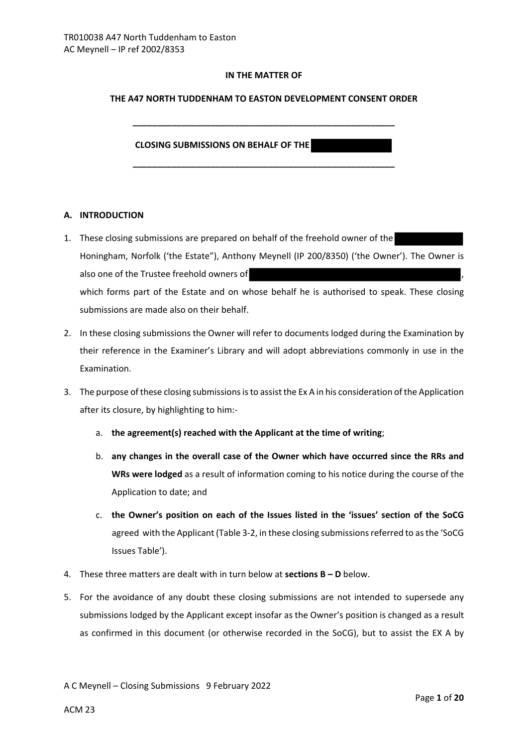## **IN THE MATTER OF**

#### **THE A47 NORTH TUDDENHAM TO EASTON DEVELOPMENT CONSENT ORDER**

**\_\_\_\_\_\_\_\_\_\_\_\_\_\_\_\_\_\_\_\_\_\_\_\_\_\_\_\_\_\_\_\_\_\_\_\_\_\_\_\_\_\_\_\_\_\_\_\_\_\_\_\_\_\_**

**\_\_\_\_\_\_\_\_\_\_\_\_\_\_\_\_\_\_\_\_\_\_\_\_\_\_\_\_\_\_\_\_\_\_\_\_\_\_\_\_\_\_\_\_\_\_\_\_\_\_\_\_\_\_**

#### **CLOSING SUBMISSIONS ON BEHALF OF THE**

## **A. INTRODUCTION**

- 1. These closing submissions are prepared on behalf of the freehold owner of the Honingham, Norfolk ('the Estate"), Anthony Meynell (IP 200/8350) ('the Owner'). The Owner is also one of the Trustee freehold owners of which forms part of the Estate and on whose behalf he is authorised to speak. These closing submissions are made also on their behalf.
- 2. In these closing submissions the Owner will refer to documents lodged during the Examination by their reference in the Examiner's Library and will adopt abbreviations commonly in use in the Examination.
- 3. The purpose of these closing submissions is to assist the Ex A in his consideration of the Application after its closure, by highlighting to him:
	- a. **the agreement(s) reached with the Applicant at the time of writing**;
	- b. **any changes in the overall case of the Owner which have occurred since the RRs and WRs were lodged** as a result of information coming to his notice during the course of the Application to date; and
	- c. **the Owner's position on each of the Issues listed in the 'issues' section of the SoCG** agreed with the Applicant (Table 3-2, in these closing submissions referred to as the 'SoCG Issues Table').
- 4. These three matters are dealt with in turn below at **sections B D** below.
- 5. For the avoidance of any doubt these closing submissions are not intended to supersede any submissions lodged by the Applicant except insofar as the Owner's position is changed as a result as confirmed in this document (or otherwise recorded in the SoCG), but to assist the EX A by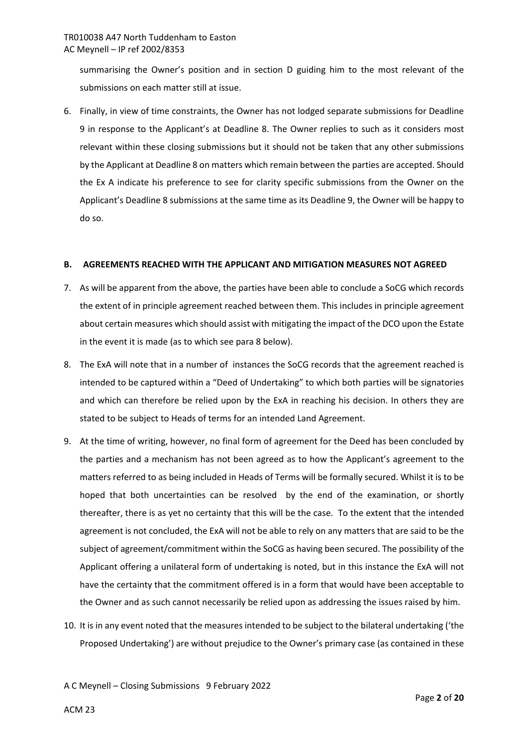summarising the Owner's position and in section D guiding him to the most relevant of the submissions on each matter still at issue.

6. Finally, in view of time constraints, the Owner has not lodged separate submissions for Deadline 9 in response to the Applicant's at Deadline 8. The Owner replies to such as it considers most relevant within these closing submissions but it should not be taken that any other submissions by the Applicant at Deadline 8 on matters which remain between the parties are accepted. Should the Ex A indicate his preference to see for clarity specific submissions from the Owner on the Applicant's Deadline 8 submissions at the same time as its Deadline 9, the Owner will be happy to do so.

## **B. AGREEMENTS REACHED WITH THE APPLICANT AND MITIGATION MEASURES NOT AGREED**

- 7. As will be apparent from the above, the parties have been able to conclude a SoCG which records the extent of in principle agreement reached between them. This includes in principle agreement about certain measures which should assist with mitigating the impact of the DCO upon the Estate in the event it is made (as to which see para 8 below).
- 8. The ExA will note that in a number of instances the SoCG records that the agreement reached is intended to be captured within a "Deed of Undertaking" to which both parties will be signatories and which can therefore be relied upon by the ExA in reaching his decision. In others they are stated to be subject to Heads of terms for an intended Land Agreement.
- 9. At the time of writing, however, no final form of agreement for the Deed has been concluded by the parties and a mechanism has not been agreed as to how the Applicant's agreement to the matters referred to as being included in Heads of Terms will be formally secured. Whilst it is to be hoped that both uncertainties can be resolved by the end of the examination, or shortly thereafter, there is as yet no certainty that this will be the case. To the extent that the intended agreement is not concluded, the ExA will not be able to rely on any matters that are said to be the subject of agreement/commitment within the SoCG as having been secured. The possibility of the Applicant offering a unilateral form of undertaking is noted, but in this instance the ExA will not have the certainty that the commitment offered is in a form that would have been acceptable to the Owner and as such cannot necessarily be relied upon as addressing the issues raised by him.
- 10. It is in any event noted that the measures intended to be subject to the bilateral undertaking ('the Proposed Undertaking') are without prejudice to the Owner's primary case (as contained in these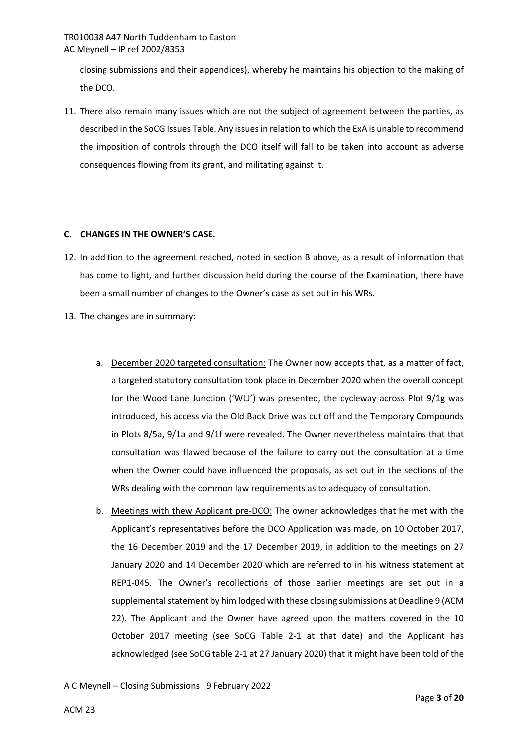closing submissions and their appendices), whereby he maintains his objection to the making of the DCO.

11. There also remain many issues which are not the subject of agreement between the parties, as described in the SoCG Issues Table. Any issues in relation to which the ExA is unable to recommend the imposition of controls through the DCO itself will fall to be taken into account as adverse consequences flowing from its grant, and militating against it.

## **C**. **CHANGES IN THE OWNER'S CASE.**

- 12. In addition to the agreement reached, noted in section B above, as a result of information that has come to light, and further discussion held during the course of the Examination, there have been a small number of changes to the Owner's case as set out in his WRs.
- 13. The changes are in summary:
	- a. December 2020 targeted consultation: The Owner now accepts that, as a matter of fact, a targeted statutory consultation took place in December 2020 when the overall concept for the Wood Lane Junction ('WLJ') was presented, the cycleway across Plot 9/1g was introduced, his access via the Old Back Drive was cut off and the Temporary Compounds in Plots 8/5a, 9/1a and 9/1f were revealed. The Owner nevertheless maintains that that consultation was flawed because of the failure to carry out the consultation at a time when the Owner could have influenced the proposals, as set out in the sections of the WRs dealing with the common law requirements as to adequacy of consultation.
	- b. Meetings with thew Applicant pre-DCO: The owner acknowledges that he met with the Applicant's representatives before the DCO Application was made, on 10 October 2017, the 16 December 2019 and the 17 December 2019, in addition to the meetings on 27 January 2020 and 14 December 2020 which are referred to in his witness statement at REP1-045. The Owner's recollections of those earlier meetings are set out in a supplemental statement by him lodged with these closing submissions at Deadline 9 (ACM 22). The Applicant and the Owner have agreed upon the matters covered in the 10 October 2017 meeting (see SoCG Table 2-1 at that date) and the Applicant has acknowledged (see SoCG table 2-1 at 27 January 2020) that it might have been told of the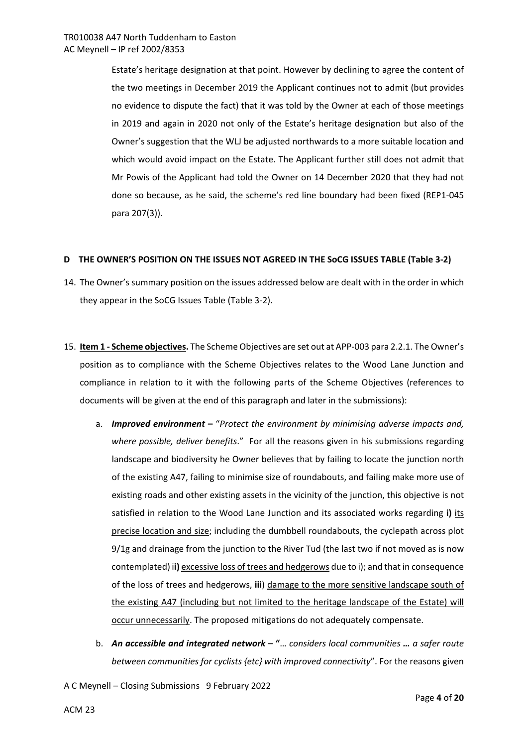Estate's heritage designation at that point. However by declining to agree the content of the two meetings in December 2019 the Applicant continues not to admit (but provides no evidence to dispute the fact) that it was told by the Owner at each of those meetings in 2019 and again in 2020 not only of the Estate's heritage designation but also of the Owner's suggestion that the WLJ be adjusted northwards to a more suitable location and which would avoid impact on the Estate. The Applicant further still does not admit that Mr Powis of the Applicant had told the Owner on 14 December 2020 that they had not done so because, as he said, the scheme's red line boundary had been fixed (REP1-045 para 207(3)).

## **D THE OWNER'S POSITION ON THE ISSUES NOT AGREED IN THE SoCG ISSUES TABLE (Table 3-2)**

- 14. The Owner's summary position on the issues addressed below are dealt with in the order in which they appear in the SoCG Issues Table (Table 3-2).
- 15. **Item 1 Scheme objectives.** The Scheme Objectives are set out at APP-003 para 2.2.1. The Owner's position as to compliance with the Scheme Objectives relates to the Wood Lane Junction and compliance in relation to it with the following parts of the Scheme Objectives (references to documents will be given at the end of this paragraph and later in the submissions):
	- a. *Improved environment*"*Protect the environment by minimising adverse impacts and, where possible, deliver benefits*." For all the reasons given in his submissions regarding landscape and biodiversity he Owner believes that by failing to locate the junction north of the existing A47, failing to minimise size of roundabouts, and failing make more use of existing roads and other existing assets in the vicinity of the junction, this objective is not satisfied in relation to the Wood Lane Junction and its associated works regarding **i)** its precise location and size; including the dumbbell roundabouts, the cyclepath across plot 9/1g and drainage from the junction to the River Tud (the last two if not moved as is now contemplated) i**i)** excessive loss of trees and hedgerows due to i); and that in consequence of the loss of trees and hedgerows, **iii**) damage to the more sensitive landscape south of the existing A47 (including but not limited to the heritage landscape of the Estate) will occur unnecessarily. The proposed mitigations do not adequately compensate.
	- b. *An accessible and integrated network* **"**… *considers local communities … a safer route between communities for cyclists {etc} with improved connectivity*". For the reasons given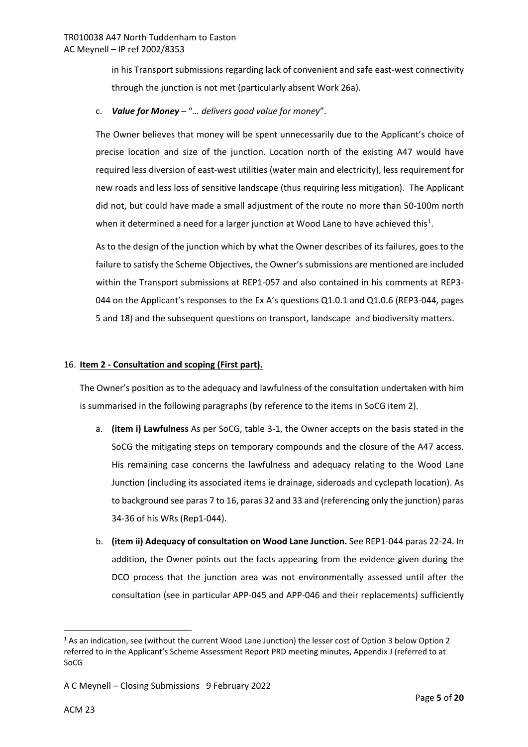in his Transport submissions regarding lack of convenient and safe east-west connectivity through the junction is not met (particularly absent Work 26a).

## c. *Value for Money* – "*… delivers good value for money*".

The Owner believes that money will be spent unnecessarily due to the Applicant's choice of precise location and size of the junction. Location north of the existing A47 would have required less diversion of east-west utilities (water main and electricity), less requirement for new roads and less loss of sensitive landscape (thus requiring less mitigation). The Applicant did not, but could have made a small adjustment of the route no more than 50-100m north when it determined a need for a larger junction at Wood Lane to have achieved this<sup>[1](#page-4-0)</sup>.

As to the design of the junction which by what the Owner describes of its failures, goes to the failure to satisfy the Scheme Objectives, the Owner's submissions are mentioned are included within the Transport submissions at REP1-057 and also contained in his comments at REP3- 044 on the Applicant's responses to the Ex A's questions Q1.0.1 and Q1.0.6 (REP3-044, pages 5 and 18) and the subsequent questions on transport, landscape and biodiversity matters.

## 16. **Item 2 - Consultation and scoping (First part).**

The Owner's position as to the adequacy and lawfulness of the consultation undertaken with him is summarised in the following paragraphs (by reference to the items in SoCG item 2).

- a. **(item i) Lawfulness** As per SoCG, table 3-1, the Owner accepts on the basis stated in the SoCG the mitigating steps on temporary compounds and the closure of the A47 access. His remaining case concerns the lawfulness and adequacy relating to the Wood Lane Junction (including its associated items ie drainage, sideroads and cyclepath location). As to background see paras 7 to 16, paras 32 and 33 and (referencing only the junction) paras 34-36 of his WRs (Rep1-044).
- b. **(item ii) Adequacy of consultation on Wood Lane Junction.** See REP1-044 paras 22-24. In addition, the Owner points out the facts appearing from the evidence given during the DCO process that the junction area was not environmentally assessed until after the consultation (see in particular APP-045 and APP-046 and their replacements) sufficiently

**.** 

<span id="page-4-0"></span><sup>&</sup>lt;sup>1</sup> As an indication, see (without the current Wood Lane Junction) the lesser cost of Option 3 below Option 2 referred to in the Applicant's Scheme Assessment Report PRD meeting minutes, Appendix J (referred to at SoCG

A C Meynell – Closing Submissions 9 February 2022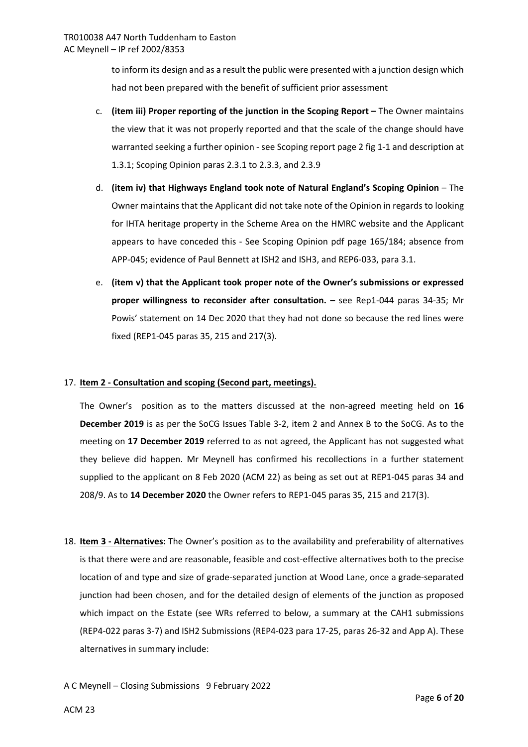to inform its design and as a result the public were presented with a junction design which had not been prepared with the benefit of sufficient prior assessment

- c. **(item iii) Proper reporting of the junction in the Scoping Report –** The Owner maintains the view that it was not properly reported and that the scale of the change should have warranted seeking a further opinion - see Scoping report page 2 fig 1-1 and description at 1.3.1; Scoping Opinion paras 2.3.1 to 2.3.3, and 2.3.9
- d. **(item iv) that Highways England took note of Natural England's Scoping Opinion** The Owner maintains that the Applicant did not take note of the Opinion in regards to looking for IHTA heritage property in the Scheme Area on the HMRC website and the Applicant appears to have conceded this - See Scoping Opinion pdf page 165/184; absence from APP-045; evidence of Paul Bennett at ISH2 and ISH3, and REP6-033, para 3.1.
- e. **(item v) that the Applicant took proper note of the Owner's submissions or expressed proper willingness to reconsider after consultation. –** see Rep1-044 paras 34-35; Mr Powis' statement on 14 Dec 2020 that they had not done so because the red lines were fixed (REP1-045 paras 35, 215 and 217(3).

# 17. **Item 2 - Consultation and scoping (Second part, meetings).**

The Owner'sposition as to the matters discussed at the non-agreed meeting held on **16 December 2019** is as per the SoCG Issues Table 3-2, item 2 and Annex B to the SoCG. As to the meeting on **17 December 2019** referred to as not agreed, the Applicant has not suggested what they believe did happen. Mr Meynell has confirmed his recollections in a further statement supplied to the applicant on 8 Feb 2020 (ACM 22) as being as set out at REP1-045 paras 34 and 208/9. As to **14 December 2020** the Owner refers to REP1-045 paras 35, 215 and 217(3).

18. **Item 3 - Alternatives:** The Owner's position as to the availability and preferability of alternatives is that there were and are reasonable, feasible and cost-effective alternatives both to the precise location of and type and size of grade-separated junction at Wood Lane, once a grade-separated junction had been chosen, and for the detailed design of elements of the junction as proposed which impact on the Estate (see WRs referred to below, a summary at the CAH1 submissions (REP4-022 paras 3-7) and ISH2 Submissions (REP4-023 para 17-25, paras 26-32 and App A). These alternatives in summary include: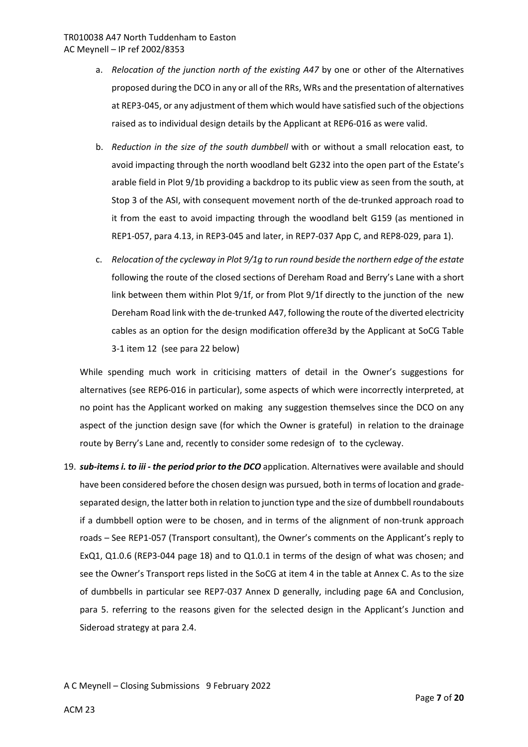- a. *Relocation of the junction north of the existing A47* by one or other of the Alternatives proposed during the DCO in any or all of the RRs, WRs and the presentation of alternatives at REP3-045, or any adjustment of them which would have satisfied such of the objections raised as to individual design details by the Applicant at REP6-016 as were valid.
- b. *Reduction in the size of the south dumbbell* with or without a small relocation east, to avoid impacting through the north woodland belt G232 into the open part of the Estate's arable field in Plot 9/1b providing a backdrop to its public view as seen from the south, at Stop 3 of the ASI, with consequent movement north of the de-trunked approach road to it from the east to avoid impacting through the woodland belt G159 (as mentioned in REP1-057, para 4.13, in REP3-045 and later, in REP7-037 App C, and REP8-029, para 1).
- c. *Relocation of the cycleway in Plot 9/1g to run round beside the northern edge of the estate* following the route of the closed sections of Dereham Road and Berry's Lane with a short link between them within Plot 9/1f, or from Plot 9/1f directly to the junction of the new Dereham Road link with the de-trunked A47, following the route of the diverted electricity cables as an option for the design modification offere3d by the Applicant at SoCG Table 3-1 item 12 (see para 22 below)

While spending much work in criticising matters of detail in the Owner's suggestions for alternatives (see REP6-016 in particular), some aspects of which were incorrectly interpreted, at no point has the Applicant worked on making any suggestion themselves since the DCO on any aspect of the junction design save (for which the Owner is grateful) in relation to the drainage route by Berry's Lane and, recently to consider some redesign of to the cycleway.

19. *sub-items i. to iii - the period prior to the DCO* application. Alternatives were available and should have been considered before the chosen design was pursued, both in terms of location and gradeseparated design, the latter both in relation to junction type and the size of dumbbell roundabouts if a dumbbell option were to be chosen, and in terms of the alignment of non-trunk approach roads – See REP1-057 (Transport consultant), the Owner's comments on the Applicant's reply to ExQ1, Q1.0.6 (REP3-044 page 18) and to Q1.0.1 in terms of the design of what was chosen; and see the Owner's Transport reps listed in the SoCG at item 4 in the table at Annex C. As to the size of dumbbells in particular see REP7-037 Annex D generally, including page 6A and Conclusion, para 5. referring to the reasons given for the selected design in the Applicant's Junction and Sideroad strategy at para 2.4.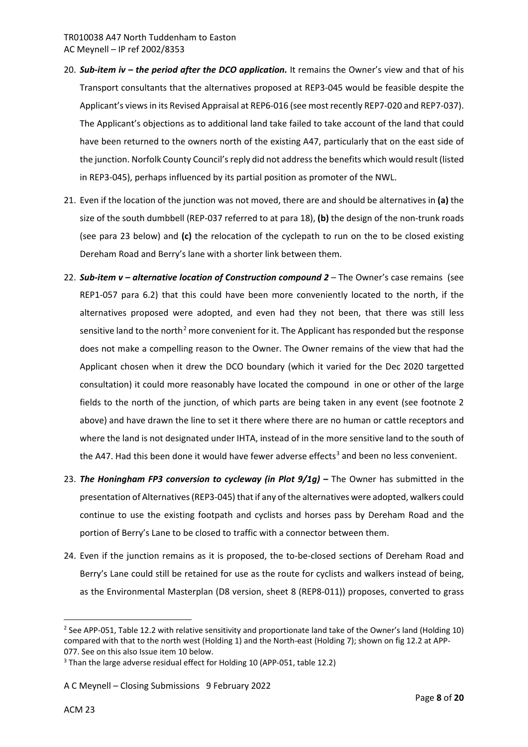- 20. **Sub-item iv the period after the DCO application.** It remains the Owner's view and that of his Transport consultants that the alternatives proposed at REP3-045 would be feasible despite the Applicant's views in its Revised Appraisal at REP6-016 (see most recently REP7-020 and REP7-037). The Applicant's objections as to additional land take failed to take account of the land that could have been returned to the owners north of the existing A47, particularly that on the east side of the junction. Norfolk County Council's reply did not address the benefits which would result (listed in REP3-045), perhaps influenced by its partial position as promoter of the NWL.
- 21. Even if the location of the junction was not moved, there are and should be alternatives in **(a)** the size of the south dumbbell (REP-037 referred to at para 18), **(b)** the design of the non-trunk roads (see para 23 below) and **(c)** the relocation of the cyclepath to run on the to be closed existing Dereham Road and Berry's lane with a shorter link between them.
- 22. *Sub-item v alternative location of Construction compound 2* The Owner's case remains (see REP1-057 para 6.2) that this could have been more conveniently located to the north, if the alternatives proposed were adopted, and even had they not been, that there was still less sensitive land to the north<sup>[2](#page-7-0)</sup> more convenient for it. The Applicant has responded but the response does not make a compelling reason to the Owner. The Owner remains of the view that had the Applicant chosen when it drew the DCO boundary (which it varied for the Dec 2020 targetted consultation) it could more reasonably have located the compound in one or other of the large fields to the north of the junction, of which parts are being taken in any event (see footnote 2 above) and have drawn the line to set it there where there are no human or cattle receptors and where the land is not designated under IHTA, instead of in the more sensitive land to the south of the A47. Had this been done it would have fewer adverse effects<sup>[3](#page-7-1)</sup> and been no less convenient.
- 23. *The Honingham FP3 conversion to cycleway (in Plot 9/1g)* The Owner has submitted in the presentation of Alternatives (REP3-045) that if any of the alternatives were adopted, walkers could continue to use the existing footpath and cyclists and horses pass by Dereham Road and the portion of Berry's Lane to be closed to traffic with a connector between them.
- 24. Even if the junction remains as it is proposed, the to-be-closed sections of Dereham Road and Berry's Lane could still be retained for use as the route for cyclists and walkers instead of being, as the Environmental Masterplan (D8 version, sheet 8 (REP8-011)) proposes, converted to grass

A C Meynell – Closing Submissions 9 February 2022

 $\overline{a}$ 

<span id="page-7-0"></span><sup>&</sup>lt;sup>2</sup> See APP-051, Table 12.2 with relative sensitivity and proportionate land take of the Owner's land (Holding 10) compared with that to the north west (Holding 1) and the North-east (Holding 7); shown on fig 12.2 at APP-077. See on this also Issue item 10 below.

<span id="page-7-1"></span><sup>&</sup>lt;sup>3</sup> Than the large adverse residual effect for Holding 10 (APP-051, table 12.2)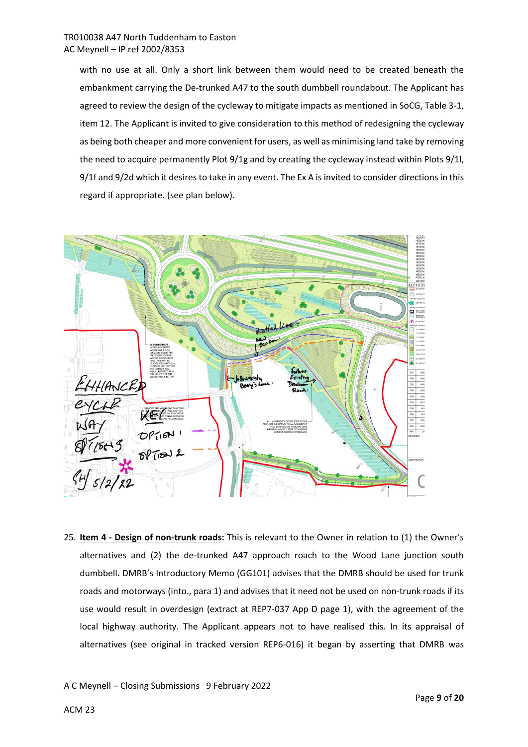with no use at all. Only a short link between them would need to be created beneath the embankment carrying the De-trunked A47 to the south dumbbell roundabout. The Applicant has agreed to review the design of the cycleway to mitigate impacts as mentioned in SoCG, Table 3-1, item 12. The Applicant is invited to give consideration to this method of redesigning the cycleway as being both cheaper and more convenient for users, as well as minimising land take by removing the need to acquire permanently Plot 9/1g and by creating the cycleway instead within Plots 9/1l, 9/1f and 9/2d which it desires to take in any event. The Ex A is invited to consider directions in this regard if appropriate. (see plan below).



25. **Item 4 - Design of non-trunk roads:** This is relevant to the Owner in relation to (1) the Owner's alternatives and (2) the de-trunked A47 approach roach to the Wood Lane junction south dumbbell. DMRB's Introductory Memo (GG101) advises that the DMRB should be used for trunk roads and motorways (into., para 1) and advises that it need not be used on non-trunk roads if its use would result in overdesign (extract at REP7-037 App D page 1), with the agreement of the local highway authority. The Applicant appears not to have realised this. In its appraisal of alternatives (see original in tracked version REP6-016) it began by asserting that DMRB was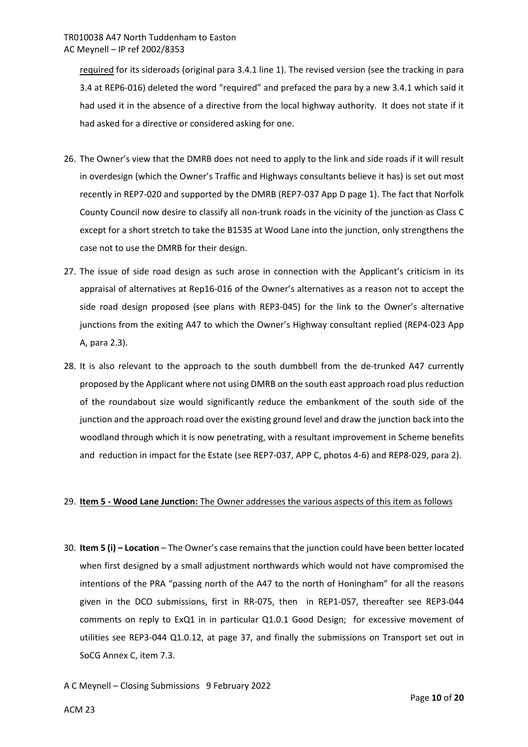required for its sideroads (original para 3.4.1 line 1). The revised version (see the tracking in para 3.4 at REP6-016) deleted the word "required" and prefaced the para by a new 3.4.1 which said it had used it in the absence of a directive from the local highway authority. It does not state if it had asked for a directive or considered asking for one.

- 26. The Owner's view that the DMRB does not need to apply to the link and side roads if it will result in overdesign (which the Owner's Traffic and Highways consultants believe it has) is set out most recently in REP7-020 and supported by the DMRB (REP7-037 App D page 1). The fact that Norfolk County Council now desire to classify all non-trunk roads in the vicinity of the junction as Class C except for a short stretch to take the B1535 at Wood Lane into the junction, only strengthens the case not to use the DMRB for their design.
- 27. The issue of side road design as such arose in connection with the Applicant's criticism in its appraisal of alternatives at Rep16-016 of the Owner's alternatives as a reason not to accept the side road design proposed (see plans with REP3-045) for the link to the Owner's alternative junctions from the exiting A47 to which the Owner's Highway consultant replied (REP4-023 App A, para 2.3).
- 28. It is also relevant to the approach to the south dumbbell from the de-trunked A47 currently proposed by the Applicant where not using DMRB on the south east approach road plus reduction of the roundabout size would significantly reduce the embankment of the south side of the junction and the approach road over the existing ground level and draw the junction back into the woodland through which it is now penetrating, with a resultant improvement in Scheme benefits and reduction in impact for the Estate (see REP7-037, APP C, photos 4-6) and REP8-029, para 2).

## 29. **Item 5 - Wood Lane Junction:** The Owner addresses the various aspects of this item as follows

- 30. **Item 5 (i) Location** The Owner's case remains that the junction could have been better located when first designed by a small adjustment northwards which would not have compromised the intentions of the PRA "passing north of the A47 to the north of Honingham" for all the reasons given in the DCO submissions, first in RR-075, then in REP1-057, thereafter see REP3-044 comments on reply to ExQ1 in in particular Q1.0.1 Good Design; for excessive movement of utilities see REP3-044 Q1.0.12, at page 37, and finally the submissions on Transport set out in SoCG Annex C, item 7.3.
- A C Meynell Closing Submissions 9 February 2022

ACM 23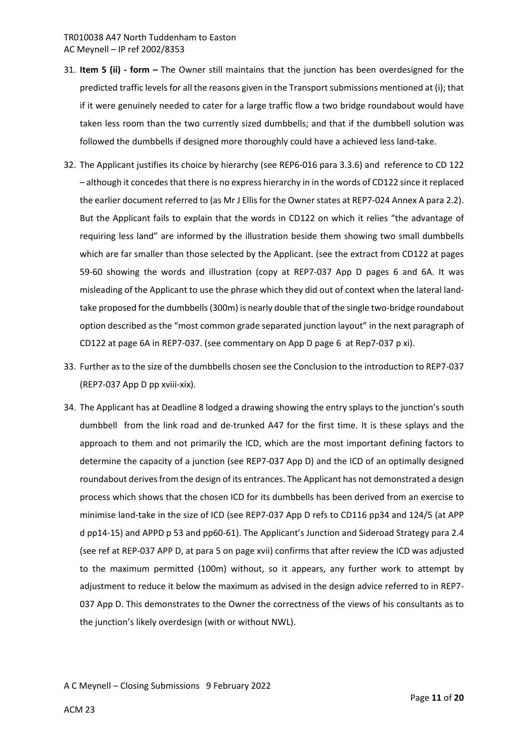- 31. **Item 5 (ii) form** The Owner still maintains that the junction has been overdesigned for the predicted traffic levels for all the reasons given in the Transport submissions mentioned at (i); that if it were genuinely needed to cater for a large traffic flow a two bridge roundabout would have taken less room than the two currently sized dumbbells; and that if the dumbbell solution was followed the dumbbells if designed more thoroughly could have a achieved less land-take.
- 32. The Applicant justifies its choice by hierarchy (see REP6-016 para 3.3.6) and reference to CD 122 – although it concedes that there is no express hierarchy in in the words of CD122 since it replaced the earlier document referred to (as Mr J Ellis for the Owner states at REP7-024 Annex A para 2.2). But the Applicant fails to explain that the words in CD122 on which it relies "the advantage of requiring less land" are informed by the illustration beside them showing two small dumbbells which are far smaller than those selected by the Applicant. (see the extract from CD122 at pages 59-60 showing the words and illustration (copy at REP7-037 App D pages 6 and 6A. It was misleading of the Applicant to use the phrase which they did out of context when the lateral landtake proposed for the dumbbells (300m) is nearly double that of the single two-bridge roundabout option described as the "most common grade separated junction layout" in the next paragraph of CD122 at page 6A in REP7-037. (see commentary on App D page 6 at Rep7-037 p xi).
- 33. Further as to the size of the dumbbells chosen see the Conclusion to the introduction to REP7-037 (REP7-037 App D pp xviii-xix).
- 34. The Applicant has at Deadline 8 lodged a drawing showing the entry splays to the junction's south dumbbell from the link road and de-trunked A47 for the first time. It is these splays and the approach to them and not primarily the ICD, which are the most important defining factors to determine the capacity of a junction (see REP7-037 App D) and the ICD of an optimally designed roundabout derives from the design of its entrances. The Applicant has not demonstrated a design process which shows that the chosen ICD for its dumbbells has been derived from an exercise to minimise land-take in the size of ICD (see REP7-037 App D refs to CD116 pp34 and 124/5 (at APP d pp14-15) and APPD p 53 and pp60-61). The Applicant's Junction and Sideroad Strategy para 2.4 (see ref at REP-037 APP D, at para 5 on page xvii) confirms that after review the ICD was adjusted to the maximum permitted (100m) without, so it appears, any further work to attempt by adjustment to reduce it below the maximum as advised in the design advice referred to in REP7- 037 App D. This demonstrates to the Owner the correctness of the views of his consultants as to the junction's likely overdesign (with or without NWL).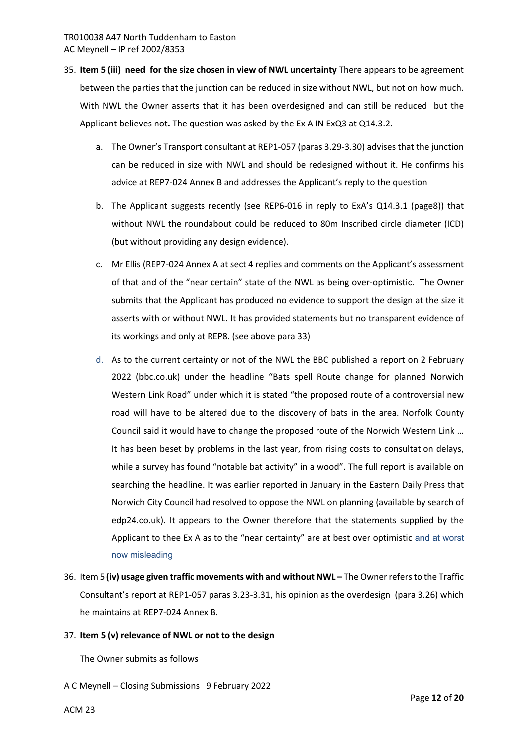- 35. **Item 5 (iii) need for the size chosen in view of NWL uncertainty** There appears to be agreement between the parties that the junction can be reduced in size without NWL, but not on how much. With NWL the Owner asserts that it has been overdesigned and can still be reduced but the Applicant believes not**.** The question was asked by the Ex A IN ExQ3 at Q14.3.2.
	- a. The Owner's Transport consultant at REP1-057 (paras 3.29-3.30) advises that the junction can be reduced in size with NWL and should be redesigned without it. He confirms his advice at REP7-024 Annex B and addresses the Applicant's reply to the question
	- b. The Applicant suggests recently (see REP6-016 in reply to ExA's Q14.3.1 (page8)) that without NWL the roundabout could be reduced to 80m Inscribed circle diameter (ICD) (but without providing any design evidence).
	- c. Mr Ellis (REP7-024 Annex A at sect 4 replies and comments on the Applicant's assessment of that and of the "near certain" state of the NWL as being over-optimistic. The Owner submits that the Applicant has produced no evidence to support the design at the size it asserts with or without NWL. It has provided statements but no transparent evidence of its workings and only at REP8. (see above para 33)
	- d. As to the current certainty or not of the NWL the BBC published a report on 2 February 2022 (bbc.co.uk) under the headline "Bats spell Route change for planned Norwich Western Link Road" under which it is stated "the proposed route of a controversial new road will have to be altered due to the discovery of bats in the area. Norfolk County Council said it would have to change the proposed route of the Norwich Western Link … It has been beset by problems in the last year, from rising costs to consultation delays, while a survey has found "notable bat activity" in a wood". The full report is available on searching the headline. It was earlier reported in January in the Eastern Daily Press that Norwich City Council had resolved to oppose the NWL on planning (available by search of edp24.co.uk). It appears to the Owner therefore that the statements supplied by the Applicant to thee Ex A as to the "near certainty" are at best over optimistic and at worst now misleading
- 36. Item 5 **(iv) usage given traffic movements with and without NWL** The Owner refers to the Traffic Consultant's report at REP1-057 paras 3.23-3.31, his opinion as the overdesign (para 3.26) which he maintains at REP7-024 Annex B.

## 37. **Item 5 (v) relevance of NWL or not to the design**

The Owner submits as follows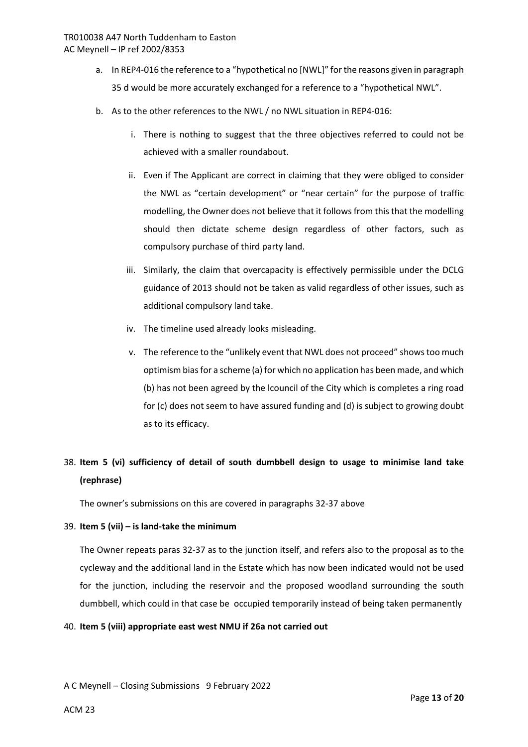- a. In REP4-016 the reference to a "hypothetical no [NWL]" for the reasons given in paragraph 35 d would be more accurately exchanged for a reference to a "hypothetical NWL".
- b. As to the other references to the NWL / no NWL situation in REP4-016:
	- i. There is nothing to suggest that the three objectives referred to could not be achieved with a smaller roundabout.
	- ii. Even if The Applicant are correct in claiming that they were obliged to consider the NWL as "certain development" or "near certain" for the purpose of traffic modelling, the Owner does not believe that it follows from this that the modelling should then dictate scheme design regardless of other factors, such as compulsory purchase of third party land.
	- iii. Similarly, the claim that overcapacity is effectively permissible under the DCLG guidance of 2013 should not be taken as valid regardless of other issues, such as additional compulsory land take.
	- iv. The timeline used already looks misleading.
	- v. The reference to the "unlikely event that NWL does not proceed" shows too much optimism bias for a scheme (a) for which no application has been made, and which (b) has not been agreed by the lcouncil of the City which is completes a ring road for (c) does not seem to have assured funding and (d) is subject to growing doubt as to its efficacy.

# 38. **Item 5 (vi) sufficiency of detail of south dumbbell design to usage to minimise land take (rephrase)**

The owner's submissions on this are covered in paragraphs 32-37 above

# 39. **Item 5 (vii) – is land-take the minimum**

The Owner repeats paras 32-37 as to the junction itself, and refers also to the proposal as to the cycleway and the additional land in the Estate which has now been indicated would not be used for the junction, including the reservoir and the proposed woodland surrounding the south dumbbell, which could in that case be occupied temporarily instead of being taken permanently

## 40. **Item 5 (viii) appropriate east west NMU if 26a not carried out**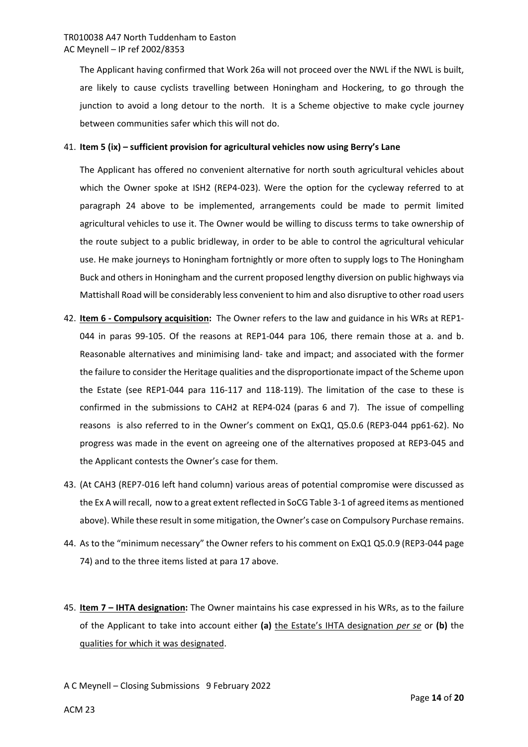The Applicant having confirmed that Work 26a will not proceed over the NWL if the NWL is built, are likely to cause cyclists travelling between Honingham and Hockering, to go through the junction to avoid a long detour to the north. It is a Scheme objective to make cycle journey between communities safer which this will not do.

#### 41. **Item 5 (ix) – sufficient provision for agricultural vehicles now using Berry's Lane**

The Applicant has offered no convenient alternative for north south agricultural vehicles about which the Owner spoke at ISH2 (REP4-023). Were the option for the cycleway referred to at paragraph 24 above to be implemented, arrangements could be made to permit limited agricultural vehicles to use it. The Owner would be willing to discuss terms to take ownership of the route subject to a public bridleway, in order to be able to control the agricultural vehicular use. He make journeys to Honingham fortnightly or more often to supply logs to The Honingham Buck and others in Honingham and the current proposed lengthy diversion on public highways via Mattishall Road will be considerably less convenient to him and also disruptive to other road users

- 42. **Item 6 Compulsory acquisition:** The Owner refers to the law and guidance in his WRs at REP1- 044 in paras 99-105. Of the reasons at REP1-044 para 106, there remain those at a. and b. Reasonable alternatives and minimising land- take and impact; and associated with the former the failure to consider the Heritage qualities and the disproportionate impact of the Scheme upon the Estate (see REP1-044 para 116-117 and 118-119). The limitation of the case to these is confirmed in the submissions to CAH2 at REP4-024 (paras 6 and 7). The issue of compelling reasons is also referred to in the Owner's comment on ExQ1, Q5.0.6 (REP3-044 pp61-62). No progress was made in the event on agreeing one of the alternatives proposed at REP3-045 and the Applicant contests the Owner's case for them.
- 43. (At CAH3 (REP7-016 left hand column) various areas of potential compromise were discussed as the Ex A will recall, now to a great extent reflected in SoCG Table 3-1 of agreed items as mentioned above). While these result in some mitigation, the Owner's case on Compulsory Purchase remains.
- 44. As to the "minimum necessary" the Owner refers to his comment on ExQ1 Q5.0.9 (REP3-044 page 74) and to the three items listed at para 17 above.
- 45. **Item 7 IHTA designation:** The Owner maintains his case expressed in his WRs, as to the failure of the Applicant to take into account either **(a)** the Estate's IHTA designation *per se* or **(b)** the qualities for which it was designated.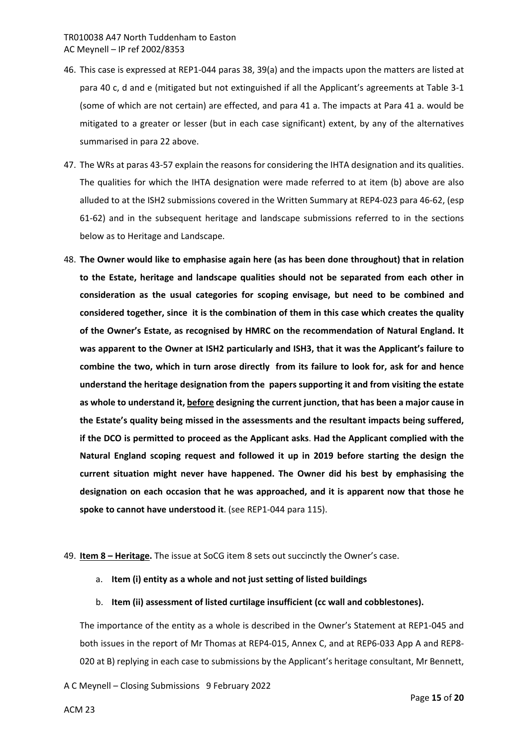- 46. This case is expressed at REP1-044 paras 38, 39(a) and the impacts upon the matters are listed at para 40 c, d and e (mitigated but not extinguished if all the Applicant's agreements at Table 3-1 (some of which are not certain) are effected, and para 41 a. The impacts at Para 41 a. would be mitigated to a greater or lesser (but in each case significant) extent, by any of the alternatives summarised in para 22 above.
- 47. The WRs at paras 43-57 explain the reasons for considering the IHTA designation and its qualities. The qualities for which the IHTA designation were made referred to at item (b) above are also alluded to at the ISH2 submissions covered in the Written Summary at REP4-023 para 46-62, (esp 61-62) and in the subsequent heritage and landscape submissions referred to in the sections below as to Heritage and Landscape.
- 48. **The Owner would like to emphasise again here (as has been done throughout) that in relation to the Estate, heritage and landscape qualities should not be separated from each other in consideration as the usual categories for scoping envisage, but need to be combined and considered together, since it is the combination of them in this case which creates the quality of the Owner's Estate, as recognised by HMRC on the recommendation of Natural England. It was apparent to the Owner at ISH2 particularly and ISH3, that it was the Applicant's failure to combine the two, which in turn arose directly from its failure to look for, ask for and hence understand the heritage designation from the papers supporting it and from visiting the estate as whole to understand it, before designing the current junction, that has been a major cause in the Estate's quality being missed in the assessments and the resultant impacts being suffered, if the DCO is permitted to proceed as the Applicant asks**. **Had the Applicant complied with the Natural England scoping request and followed it up in 2019 before starting the design the current situation might never have happened. The Owner did his best by emphasising the designation on each occasion that he was approached, and it is apparent now that those he spoke to cannot have understood it**. (see REP1-044 para 115).

## 49. **Item 8 – Heritage.** The issue at SoCG item 8 sets out succinctly the Owner's case.

- a. **Item (i) entity as a whole and not just setting of listed buildings**
- b. **Item (ii) assessment of listed curtilage insufficient (cc wall and cobblestones).**

The importance of the entity as a whole is described in the Owner's Statement at REP1-045 and both issues in the report of Mr Thomas at REP4-015, Annex C, and at REP6-033 App A and REP8- 020 at B) replying in each case to submissions by the Applicant's heritage consultant, Mr Bennett,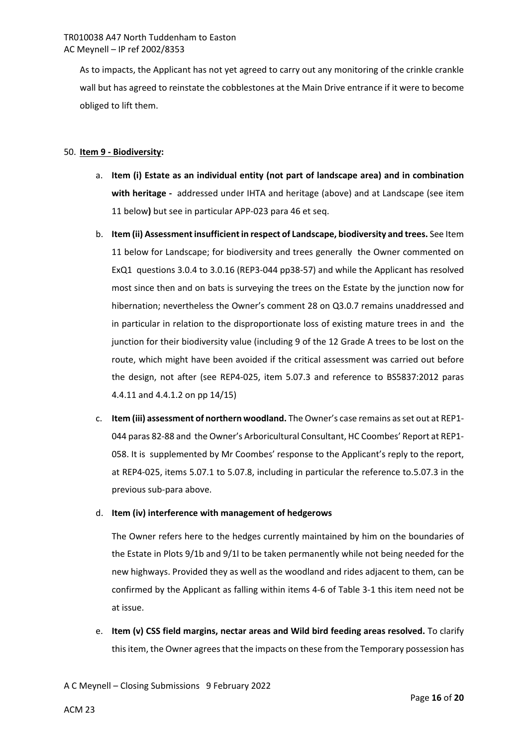As to impacts, the Applicant has not yet agreed to carry out any monitoring of the crinkle crankle wall but has agreed to reinstate the cobblestones at the Main Drive entrance if it were to become obliged to lift them.

## 50. **Item 9 - Biodiversity:**

- a. **Item (i) Estate as an individual entity (not part of landscape area) and in combination with heritage -** addressed under IHTA and heritage (above) and at Landscape (see item 11 below**)** but see in particular APP-023 para 46 et seq.
- b. **Item (ii) Assessment insufficient in respect of Landscape, biodiversity and trees.** See Item 11 below for Landscape; for biodiversity and trees generally the Owner commented on ExQ1 questions 3.0.4 to 3.0.16 (REP3-044 pp38-57) and while the Applicant has resolved most since then and on bats is surveying the trees on the Estate by the junction now for hibernation; nevertheless the Owner's comment 28 on Q3.0.7 remains unaddressed and in particular in relation to the disproportionate loss of existing mature trees in and the junction for their biodiversity value (including 9 of the 12 Grade A trees to be lost on the route, which might have been avoided if the critical assessment was carried out before the design, not after (see REP4-025, item 5.07.3 and reference to BS5837:2012 paras 4.4.11 and 4.4.1.2 on pp 14/15)
- c. **Item (iii) assessment of northern woodland.** The Owner's case remains as set out at REP1- 044 paras 82-88 and the Owner's Arboricultural Consultant, HC Coombes' Report at REP1- 058. It is supplemented by Mr Coombes' response to the Applicant's reply to the report, at REP4-025, items 5.07.1 to 5.07.8, including in particular the reference to.5.07.3 in the previous sub-para above.

## d. **Item (iv) interference with management of hedgerows**

The Owner refers here to the hedges currently maintained by him on the boundaries of the Estate in Plots 9/1b and 9/1l to be taken permanently while not being needed for the new highways. Provided they as well as the woodland and rides adjacent to them, can be confirmed by the Applicant as falling within items 4-6 of Table 3-1 this item need not be at issue.

e. **Item (v) CSS field margins, nectar areas and Wild bird feeding areas resolved.** To clarify this item, the Owner agrees that the impacts on these from the Temporary possession has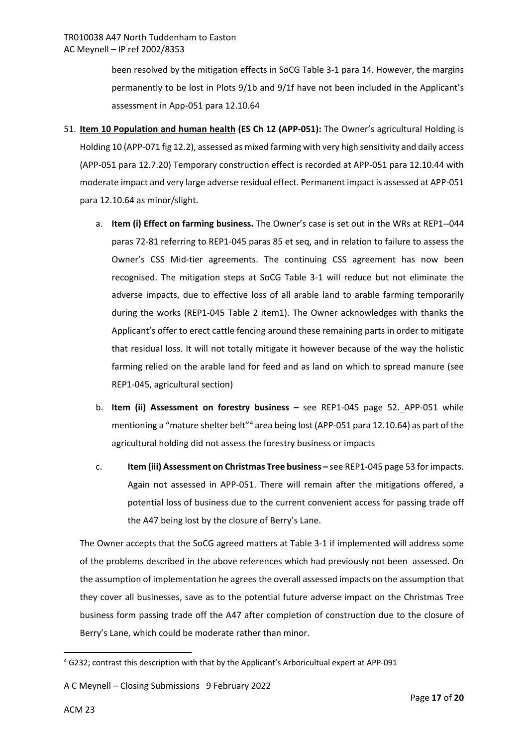been resolved by the mitigation effects in SoCG Table 3-1 para 14. However, the margins permanently to be lost in Plots 9/1b and 9/1f have not been included in the Applicant's assessment in App-051 para 12.10.64

- 51. **Item 10 Population and human health (ES Ch 12 (APP-051):** The Owner's agricultural Holding is Holding 10 (APP-071 fig 12.2), assessed as mixed farming with very high sensitivity and daily access (APP-051 para 12.7.20) Temporary construction effect is recorded at APP-051 para 12.10.44 with moderate impact and very large adverse residual effect. Permanent impact is assessed at APP-051 para 12.10.64 as minor/slight.
	- a. **Item (i) Effect on farming business.** The Owner's case is set out in the WRs at REP1--044 paras 72-81 referring to REP1-045 paras 85 et seq, and in relation to failure to assess the Owner's CSS Mid-tier agreements. The continuing CSS agreement has now been recognised. The mitigation steps at SoCG Table 3-1 will reduce but not eliminate the adverse impacts, due to effective loss of all arable land to arable farming temporarily during the works (REP1-045 Table 2 item1). The Owner acknowledges with thanks the Applicant's offer to erect cattle fencing around these remaining parts in order to mitigate that residual loss. It will not totally mitigate it however because of the way the holistic farming relied on the arable land for feed and as land on which to spread manure (see REP1-045, agricultural section)
	- b. **Item (ii) Assessment on forestry business –** see REP1-045 page 52. APP-051 while mentioning a "mature shelter belt"<sup>[4](#page-16-0)</sup> area being lost (APP-051 para 12.10.64) as part of the agricultural holding did not assess the forestry business or impacts
	- c. **Item (iii) Assessment on Christmas Tree business** see REP1-045 page 53 for impacts. Again not assessed in APP-051. There will remain after the mitigations offered, a potential loss of business due to the current convenient access for passing trade off the A47 being lost by the closure of Berry's Lane.

The Owner accepts that the SoCG agreed matters at Table 3-1 if implemented will address some of the problems described in the above references which had previously not been assessed. On the assumption of implementation he agrees the overall assessed impacts on the assumption that they cover all businesses, save as to the potential future adverse impact on the Christmas Tree business form passing trade off the A47 after completion of construction due to the closure of Berry's Lane, which could be moderate rather than minor.

**.** 

<span id="page-16-0"></span><sup>4</sup> G232; contrast this description with that by the Applicant's Arboricultual expert at APP-091

A C Meynell – Closing Submissions 9 February 2022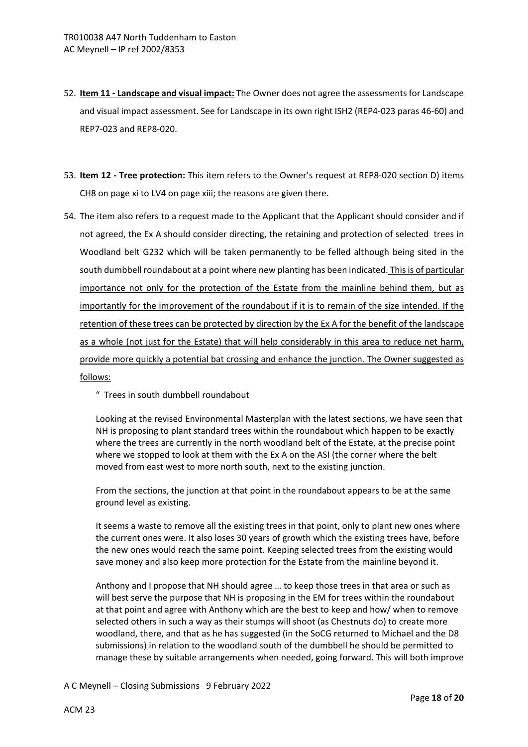- 52. **Item 11 Landscape and visual impact:** The Owner does not agree the assessments for Landscape and visual impact assessment. See for Landscape in its own right ISH2 (REP4-023 paras 46-60) and REP7-023 and REP8-020.
- 53. **Item 12 Tree protection:** This item refers to the Owner's request at REP8-020 section D) items CH8 on page xi to LV4 on page xiii; the reasons are given there.
- 54. The item also refers to a request made to the Applicant that the Applicant should consider and if not agreed, the Ex A should consider directing, the retaining and protection of selected trees in Woodland belt G232 which will be taken permanently to be felled although being sited in the south dumbbell roundabout at a point where new planting has been indicated. This is of particular importance not only for the protection of the Estate from the mainline behind them, but as importantly for the improvement of the roundabout if it is to remain of the size intended. If the retention of these trees can be protected by direction by the Ex A for the benefit of the landscape as a whole (not just for the Estate) that will help considerably in this area to reduce net harm, provide more quickly a potential bat crossing and enhance the junction. The Owner suggested as follows:
	- " Trees in south dumbbell roundabout

Looking at the revised Environmental Masterplan with the latest sections, we have seen that NH is proposing to plant standard trees within the roundabout which happen to be exactly where the trees are currently in the north woodland belt of the Estate, at the precise point where we stopped to look at them with the Ex A on the ASI (the corner where the belt moved from east west to more north south, next to the existing junction.

From the sections, the junction at that point in the roundabout appears to be at the same ground level as existing.

It seems a waste to remove all the existing trees in that point, only to plant new ones where the current ones were. It also loses 30 years of growth which the existing trees have, before the new ones would reach the same point. Keeping selected trees from the existing would save money and also keep more protection for the Estate from the mainline beyond it.

Anthony and I propose that NH should agree … to keep those trees in that area or such as will best serve the purpose that NH is proposing in the EM for trees within the roundabout at that point and agree with Anthony which are the best to keep and how/ when to remove selected others in such a way as their stumps will shoot (as Chestnuts do) to create more woodland, there, and that as he has suggested (in the SoCG returned to Michael and the D8 submissions) in relation to the woodland south of the dumbbell he should be permitted to manage these by suitable arrangements when needed, going forward. This will both improve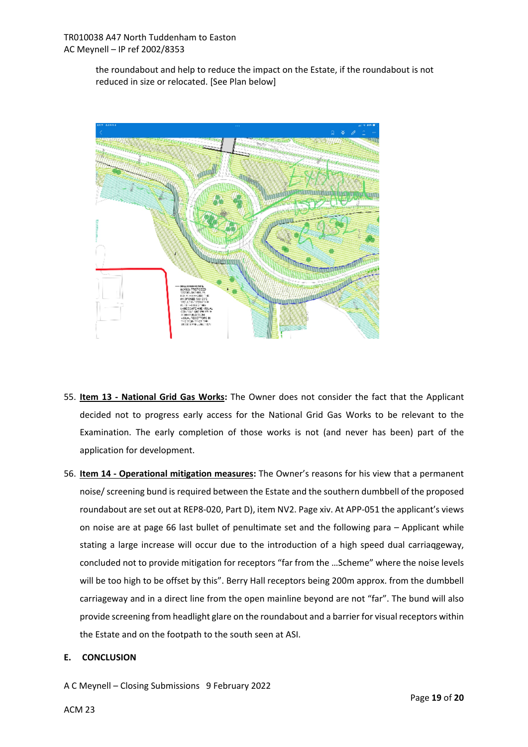the roundabout and help to reduce the impact on the Estate, if the roundabout is not reduced in size or relocated. [See Plan below]



- 55. **Item 13 National Grid Gas Works:** The Owner does not consider the fact that the Applicant decided not to progress early access for the National Grid Gas Works to be relevant to the Examination. The early completion of those works is not (and never has been) part of the application for development.
- 56. **Item 14 Operational mitigation measures:** The Owner's reasons for his view that a permanent noise/ screening bund is required between the Estate and the southern dumbbell of the proposed roundabout are set out at REP8-020, Part D), item NV2. Page xiv. At APP-051 the applicant's views on noise are at page 66 last bullet of penultimate set and the following para – Applicant while stating a large increase will occur due to the introduction of a high speed dual carriaqgeway, concluded not to provide mitigation for receptors "far from the …Scheme" where the noise levels will be too high to be offset by this". Berry Hall receptors being 200m approx. from the dumbbell carriageway and in a direct line from the open mainline beyond are not "far". The bund will also provide screening from headlight glare on the roundabout and a barrier for visual receptors within the Estate and on the footpath to the south seen at ASI.

## **E. CONCLUSION**